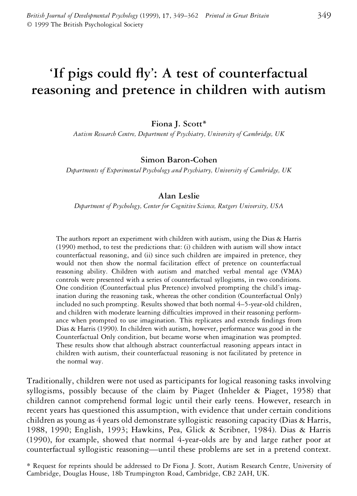# 'If pigs could fly': A test of counterfactual **reasoning and pretence in children with autism**

**Fiona J. Scott\***

*Autism Research Centre, Department of Psychiatry, University of Cambridge, UK*

### **Simon Baron-Cohen**

*Departments of Experimental Psychology and Psychiatry, University of Cambridge, UK*

# **Alan Leslie**

*Department of Psychology, Center for Cognitive Science, Rutgers University, USA*

The authors report an experiment with children with autism, using the Dias & Harris (1990) method, to test the predictions that: (i) children with autism will show intact counterfactual reasoning, and (ii) since such children are impaired in pretence, they would not then show the normal facilitation effect of pretence on counterfactual reasoning ability. Children with autism and matched verbal mental age (VMA) controls were presented with a series of counterfactual syllogisms, in two conditions. One condition (Counterfactual plus Pretence) involved prompting the child's imagination during the reasoning task, whereas the other condition (Counterfactual Only) included no such prompting. Results showed that both normal 4–5-year-old children, and children with moderate learning difficulties improved in their reasoning performance when prompted to use imagination. This replicates and extends findings from Dias & Harris (1990). In children with autism, however, performance was good in the Counterfactual Only condition, but became worse when imagination was prompted. These results show that although abstract counterfactual reasoning appears intact in children with autism, their counterfactual reasoning is not facilitated by pretence in the normal way.

Traditionally, children were not used as participants for logical reasoning tasks involving syllogisms, possibly because of the claim by Piaget (Inhelder & Piaget, 1958) that children cannot comprehend formal logic until their early teens. However, research in recent years has questioned this assumption, with evidence that under certain conditions children as young as 4 years old demonstrate syllogistic reasoning capacity (Dias & Harris, 1988, 1990; English, 1993; Hawkins, Pea, Glick & Scribner, 1984). Dias & Harris (1990), for example, showed that normal 4-year-olds are by and large rather poor at counterfactual syllogistic reasoning—until these problems are set in a pretend context.

<sup>\*</sup> Request for reprints should be addressed to Dr Fiona J. Scott, Autism Research Centre, University of Cambridge, Douglas House, 18b Trumpington Road, Cambridge, CB2 2AH, UK.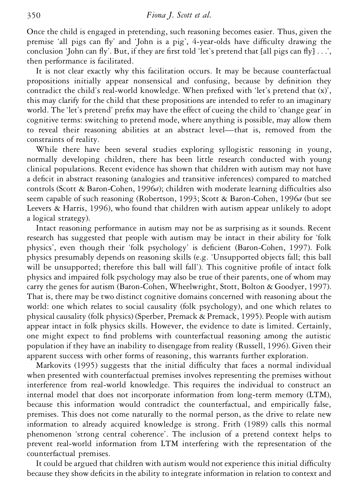Once the child is engaged in pretending, such reasoning becomes easier. Thus, given the premise 'all pigs can fly' and 'John is a pig', 4-year-olds have difficulty drawing the conclusion 'John can fly'. But, if they are first told 'let's pretend that [all pigs can fly] . . .', then performance is facilitated.

It is not clear exactly why this facilitation occurs. It may be because counterfactual propositions initially appear nonsensical and confusing, because by denition they contradict the child's real-world knowledge. When prefixed with 'let's pretend that  $(x)$ ', this may clarify for the child that these propositions are intended to refer to an imaginary world. The 'let's pretend' prefix may have the effect of cueing the child to 'change gear' in cognitive terms: switching to pretend mode, where anything is possible, may allow them to reveal their reasoning abilities at an abstract level—that is, removed from the constraints of reality.

While there have been several studies exploring syllogistic reasoning in young, normally developing children, there has been little research conducted with young clinical populations. Recent evidence has shown that children with autism may not have a deficit in abstract reasoning (analogies and transitive inferences) compared to matched controls (Scott & Baron-Cohen, 1996*a*); children with moderate learning difficulties also seem capable of such reasoning (Robertson, 1993; Scott & Baron-Cohen, 1996*a* (but see Leevers & Harris, 1996), who found that children with autism appear unlikely to adopt a logical strategy).

Intact reasoning performance in autism may not be as surprising as it sounds. Recent research has suggested that people with autism may be intact in their ability for 'folk physics', even though their 'folk psychology' is deficient (Baron-Cohen, 1997). Folk physics presumably depends on reasoning skills (e.g. 'Unsupported objects fall; this ball will be unsupported; therefore this ball will fall'). This cognitive profile of intact folk physics and impaired folk psychology may also be true of their parents, one of whom may carry the genes for autism (Baron-Cohen, Wheelwright, Stott, Bolton & Goodyer, 1997). That is, there may be two distinct cognitive domains concerned with reasoning about the world: one which relates to social causality (folk psychology), and one which relates to physical causality (folk physics) (Sperber, Premack & Premack, 1995). People with autism appear intact in folk physics skills. However, the evidence to date is limited. Certainly, one might expect to find problems with counterfactual reasoning among the autistic population if they have an inability to disengage from reality (Russell, 1996). Given their apparent success with other forms of reasoning, this warrants further exploration.

Markovits (1995) suggests that the initial difficulty that faces a normal individual when presented with counterfactual premises involves representing the premises without interference from real-world knowledge. This requires the individual to construct an internal model that does not incorporate information from long-term memory (LTM), because this information would contradict the counterfactual, and empirically false, premises. This does not come naturally to the normal person, as the drive to relate new information to already acquired knowledge is strong. Frith (1989) calls this normal phenomenon 'strong central coherence'. The inclusion of a pretend context helps to prevent real-world information from LTM interfering with the representation of the counterfactual premises.

It could be argued that children with autism would not experience this initial difculty because they show deficits in the ability to integrate information in relation to context and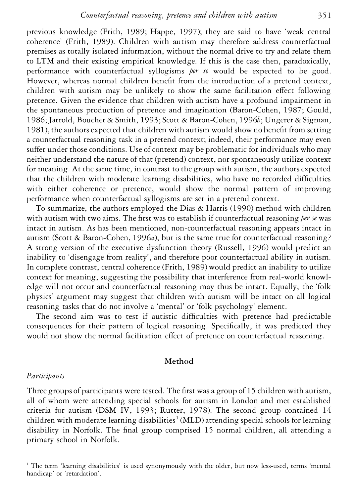previous knowledge (Frith, 1989; Happe, 1997); they are said to have 'weak central coherence' (Frith, 1989). Children with autism may therefore address counterfactual premises as totally isolated information, without the normal drive to try and relate them to LTM and their existing empirical knowledge. If this is the case then, paradoxically, performance with counterfactual syllogisms *per se* would be expected to be good. However, whereas normal children benefit from the introduction of a pretend context, children with autism may be unlikely to show the same facilitation effect following pretence. Given the evidence that children with autism have a profound impairment in the spontaneous production of pretence and imagination (Baron-Cohen, 1987; Gould, 1986; Jarrold, Boucher & Smith, 1993; Scott & Baron-Cohen, 1996*b*; Ungerer & Sigman, 1981), the authors expected that children with autism would show no benefit from setting a counterfactual reasoning task in a pretend context; indeed, their performance may even suffer under those conditions. Use of context may be problematic for individuals who may neither understand the nature of that (pretend) context, nor spontaneously utilize context for meaning. At the same time, in contrast to the group with autism, the authors expected that the children with moderate learning disabilities, who have no recorded difculties with either coherence or pretence, would show the normal pattern of improving performance when counterfactual syllogisms are set in a pretend context.

To summarize, the authors employed the Dias & Harris (1990) method with children with autism with two aims. The first was to establish if counterfactual reasoning *per se* was intact in autism. As has been mentioned, non-counterfactual reasoning appears intact in autism (Scott & Baron-Cohen, 1996*a*), but is the same true for counterfactual reasoning? A strong version of the executive dysfunction theory (Russell, 1996) would predict an inability to 'disengage from reality', and therefore poor counterfactual ability in autism. In complete contrast, central coherence (Frith, 1989) would predict an inability to utilize context for meaning, suggesting the possibility that interference from real-world knowledge will not occur and counterfactual reasoning may thus be intact. Equally, the 'folk physics' argument may suggest that children with autism will be intact on all logical reasoning tasks that do not involve a 'mental' or 'folk psychology' element.

The second aim was to test if autistic difficulties with pretence had predictable consequences for their pattern of logical reasoning. Specifically, it was predicted they would not show the normal facilitation effect of pretence on counterfactual reasoning.

#### **Method**

#### *Participants*

Three groups of participants were tested. The first was a group of 15 children with autism, all of whom were attending special schools for autism in London and met established criteria for autism (DSM IV, 1993; Rutter, 1978). The second group contained 14 children with moderate learning disabilities<sup>1</sup> (MLD) attending special schools for learning disability in Norfolk. The final group comprised 15 normal children, all attending a primary school in Norfolk.

<sup>&</sup>lt;sup>1</sup> The term 'learning disabilities' is used synonymously with the older, but now less-used, terms 'mental handicap' or 'retardation'.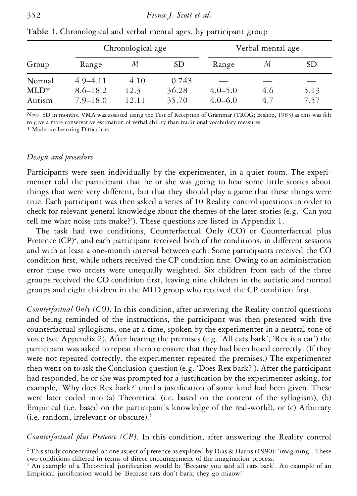|                |                              | Chronological age |                | Verbal mental age |     |      |  |
|----------------|------------------------------|-------------------|----------------|-------------------|-----|------|--|
| Group          | Range                        | М                 | SD.            | Range             | М   | SD.  |  |
| Normal<br>MLD* | $4.9 - 4.11$<br>$8.6 - 18.2$ | 4.10<br>12.3      | 0.743<br>36.28 | $4.0 - 5.0$       | 4.6 | 5.13 |  |
| Autism         | $7.9 - 18.0$                 | 12.11             | 35.70          | $4.0 - 6.0$       | 4.7 | 7.57 |  |

**Table 1.** Chronological and verbal mental ages, by participant group

*Notes*. SD in months. VMA was assessed using the Test of Reception of Grammar (TROG; Bishop, 1983) as this was felt to give a more conservative estimation of verbal ability than traditional vocabulary measures.

\* Moderate Learning Difculties

### *Design and procedure*

Participants were seen individually by the experimenter, in a quiet room. The experimenter told the participant that he or she was going to hear some little stories about things that were very different, but that they should play a game that these things were true. Each participant was then asked a series of 10 Reality control questions in order to check for relevant general knowledge about the themes of the later stories (e.g. 'Can you tell me what noise cats make?'). These questions are listed in Appendix 1.

The task had two conditions, Counterfactual Only (CO) or Counterfactual plus Pretence (CP)<sup>2</sup>, and each participant received both of the conditions, in different sessions and with at least a one-month interval between each. Some participants received the CO condition first, while others received the CP condition first. Owing to an administration error these two orders were unequally weighted. Six children from each of the three groups received the CO condition first, leaving nine children in the autistic and normal groups and eight children in the MLD group who received the CP condition first.

*Counterfactual Only (CO)*. In this condition, after answering the Reality control questions and being reminded of the instructions, the participant was then presented with five counterfactual syllogisms, one at a time, spoken by the experimenter in a neutral tone of voice (see Appendix 2). After hearing the premises (e.g. 'All cats bark'; 'Rex is a cat') the participant was asked to repeat them to ensure that they had been heard correctly. (If they were not repeated correctly, the experimenter repeated the premises.) The experimenter then went on to ask the Conclusion question (e.g. 'Does Rex bark?'). After the participant had responded, he or she was prompted for a justification by the experimenter asking, for example, 'Why does Rex bark?' until a justification of some kind had been given. These were later coded into (a) Theoretical (i.e. based on the content of the syllogism), (b) Empirical (i.e. based on the participant's knowledge of the real-world), or (c) Arbitrary (i.e. random, irrelevant or obscure). $3$ 

*Counterfactual plus Pretence (CP)*. In this condition, after answering the Reality control

 $2$  This study concentrated on one aspect of pretence as explored by Dias & Harris (1990): 'imagining'. These two conditions differed in terms of direct encouragement of the imagination process.

<sup>&</sup>lt;sup>3</sup> An example of a Theoretical justification would be 'Because you said all cats bark'. An example of an Empirical justification would be 'Because cats don't bark, they go miaow!'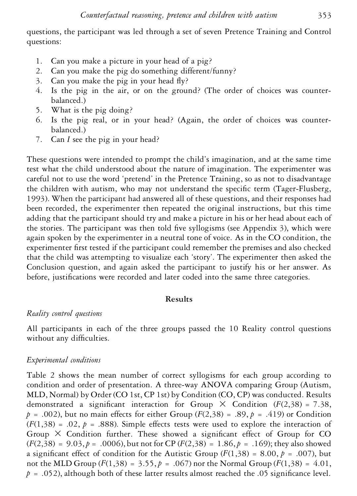questions, the participant was led through a set of seven Pretence Training and Control questions:

- 1. Can you make a picture in your head of a pig?
- 2. Can you make the pig do something different/funny?
- 3. Can you make the pig in your head  $f(y)$ ?
- 4. Is the pig in the air, or on the ground? (The order of choices was counterbalanced.)
- 5. What is the pig doing?
- 6. Is the pig real, or in your head? (Again, the order of choices was counterbalanced.)
- 7. Can *I* see the pig in your head?

These questions were intended to prompt the child's imagination, and at the same time test what the child understood about the nature of imagination. The experimenter was careful not to use the word 'pretend' in the Pretence Training, so as not to disadvantage the children with autism, who may not understand the specific term (Tager-Flusberg, 1993). When the participant had answered all of these questions, and their responses had been recorded, the experimenter then repeated the original instructions, but this time adding that the participant should try and make a picture in his or her head about each of the stories. The participant was then told five syllogisms (see Appendix  $3$ ), which were again spoken by the experimenter in a neutral tone of voice. As in the CO condition, the experimenter first tested if the participant could remember the premises and also checked that the child was attempting to visualize each 'story'. The experimenter then asked the Conclusion question, and again asked the participant to justify his or her answer. As before, justifications were recorded and later coded into the same three categories.

# **Results**

# *Reality control questions*

All participants in each of the three groups passed the 10 Reality control questions without any difficulties.

# *Experimental conditions*

Table 2 shows the mean number of correct syllogisms for each group according to condition and order of presentation. A three-way ANOVA comparing Group (Autism, MLD, Normal) by Order (CO 1st, CP 1st) by Condition (CO, CP) was conducted. Results demonstrated a significant interaction for Group  $\times$  Condition ( $F(2,38) = 7.38$ ,  $p = .002$ ), but no main effects for either Group ( $F(2,38) = .89$ ,  $p = .419$ ) or Condition  $(F(1,38) = .02, p = .888)$ . Simple effects tests were used to explore the interaction of Group  $\times$  Condition further. These showed a significant effect of Group for CO  $(F(2,38) = 9.03, p = .0006)$ , but not for CP  $(F(2,38) = 1.86, p = .169)$ ; they also showed a significant effect of condition for the Autistic Group  $(F(1,38) = 8.00, p = .007)$ , but not the MLD Group ( $F(1,38) = 3.55$ ,  $p = .067$ ) nor the Normal Group ( $F(1,38) = 4.01$ ,  $p = .052$ ), although both of these latter results almost reached the .05 significance level.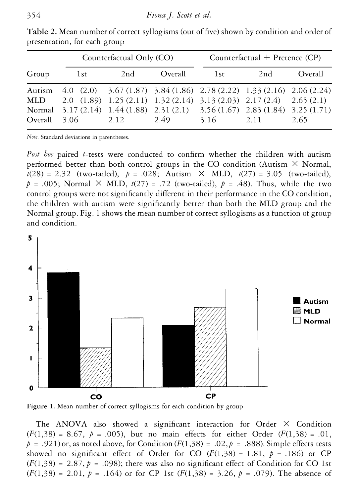|         |                                                                                                                                                                                                                                           | Counterfactual Only (CO) |  | Counterfactual + Pretence $(CP)$ |                  |         |  |  |  |
|---------|-------------------------------------------------------------------------------------------------------------------------------------------------------------------------------------------------------------------------------------------|--------------------------|--|----------------------------------|------------------|---------|--|--|--|
| Group   | 1st                                                                                                                                                                                                                                       | 2nd<br>Overall           |  | 1st                              | 2nd              | Overall |  |  |  |
| Overall | Autism 4.0 (2.0) 3.67 (1.87) 3.84 (1.86) 2.78 (2.22) 1.33 (2.16) 2.06 (2.24)<br>MLD 2.0 (1.89) 1.25 (2.11) 1.32 (2.14) 3.13 (2.03) 2.17 (2.4) 2.65 (2.1)<br>Normal 3.17 (2.14) 1.44 (1.88) 2.31 (2.1) 3.56 (1.67) 2.83 (1.84) 3.25 (1.71) | $3.06$ $2.12$ $2.49$     |  |                                  | $3.16$ 2.11 2.65 |         |  |  |  |

Table 2. Mean number of correct syllogisms (out of five) shown by condition and order of presentation, for each group

*Note*. Standard deviations in parentheses.

*Post hoc* paired *t*-tests were conducted to confirm whether the children with autism performed better than both control groups in the CO condition (Autism  $\times$  Normal,  $t(28) = 2.32$  (two-tailed),  $p = .028$ ; Autism  $\times$  MLD,  $t(27) = 3.05$  (two-tailed),  $p = .005$ ; Normal  $\times$  MLD,  $t(27) = .72$  (two-tailed),  $p = .48$ ). Thus, while the two control groups were not significantly different in their performance in the CO condition, the children with autism were signicantly better than both the MLD group and the Normal group. Fig. 1 shows the mean number of correct syllogisms as a function of group and condition.



Figure 1. Mean number of correct syllogisms for each condition by group

The ANOVA also showed a significant interaction for Order  $\times$  Condition (*F*(1,38) = 8.67, *p* = .005), but no main effects for either Order (*F*(1,38) = .01,  $p = .921$ ) or, as noted above, for Condition ( $F(1,38) = .02$ ,  $p = .888$ ). Simple effects tests showed no significant effect of Order for CO  $(F(1,38) = 1.81, p = .186)$  or CP  $(F(1,38) = 2.87, p = .098)$ ; there was also no significant effect of Condition for CO 1st  $(F(1,38) = 2.01, p = .164)$  or for CP 1st  $(F(1,38) = 3.26, p = .079)$ . The absence of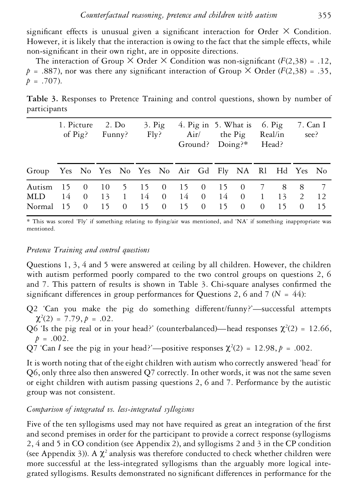significant effects is unusual given a significant interaction for Order  $\times$  Condition. However, it is likely that the interaction is owing to the fact that the simple effects, while non-significant in their own right, are in opposite directions.

The interaction of Group  $\times$  Order  $\times$  Condition was non-significant ( $F(2,38) = .12$ ,  $p = .887$ ), nor was there any significant interaction of Group  $\times$  Order (*F*(2,38) = .35,  $p = .707$ ).

**Table 3.** Responses to Pretence Training and control questions, shown by number of participants

|                                                       | 1. Picture 2. Do<br>of $\text{Pig}$ ? | Funny? |                     | $3.$ Pig<br>Fly? |  |  | 4. Pig in 5. What is 6. Pig<br>Air/ the Pig Real/in<br>Ground? Doing?* Head? |                                                      |                |      | 7. Can I<br>see? |           |
|-------------------------------------------------------|---------------------------------------|--------|---------------------|------------------|--|--|------------------------------------------------------------------------------|------------------------------------------------------|----------------|------|------------------|-----------|
| Group Yes No Yes No Yes No Air Gd Fly NA Rl Hd Yes No |                                       |        |                     |                  |  |  |                                                                              |                                                      |                |      |                  |           |
| Autism 15 0<br>$MLD$ 14 0<br>Normal $15 \quad 0$      |                                       |        | 15 0 15 0 15 0 15 0 |                  |  |  |                                                                              | 10 5 15 0 15 0 15 0 7 8 8 7<br>13 1 14 0 14 0 14 0 1 | $\overline{0}$ | 15 0 | $13 \t 2$        | 12<br>-15 |

\* This was scored 'Fly' if something relating to flying/air was mentioned, and 'NA' if something inappropriate was mentioned.

# *Pretence Training and control questions*

Questions 1, 3, 4 and 5 were answered at ceiling by all children. However, the children with autism performed poorly compared to the two control groups on questions 2, 6 and 7. This pattern of results is shown in Table  $\beta$ . Chi-square analyses confirmed the significant differences in group performances for Questions 2, 6 and 7 ( $N = 44$ ):

- Q2 'Can you make the pig do something different/funny?'—successful attempts  $\chi^2(2) = 7.79, p = .02.$
- Q6 'Is the pig real or in your head?' (counterbalanced)—head responses  $\chi^2(2) = 12.66$ ,  $p = .002$ .
- Q7 'Can *I* see the pig in your head?'—positive responses  $\chi^2(2) = 12.98$ ,  $p = .002$ .

It is worth noting that of the eight children with autism who correctly answered 'head' for Q6, only three also then answered Q7 correctly. In other words, it was not the same seven or eight children with autism passing questions 2, 6 and 7. Performance by the autistic group was not consistent.

# *Comparison of integrated vs. less-integrated syllogisms*

Five of the ten syllogisms used may not have required as great an integration of the first and second premises in order for the participant to provide a correct response (syllogisms 2, 4 and 5 in CO condition (see Appendix 2), and syllogisms 2 and 3 in the CP condition (see Appendix 3)). A  $\chi^2$  analysis was therefore conducted to check whether children were more successful at the less-integrated syllogisms than the arguably more logical integrated syllogisms. Results demonstrated no signicant differences in performance for the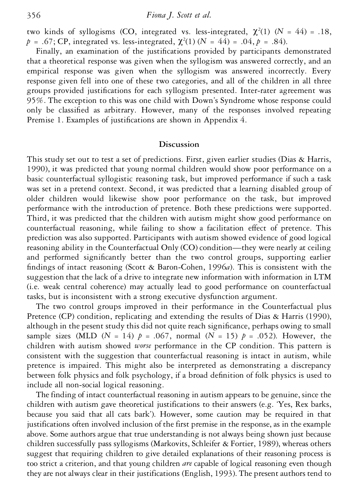two kinds of syllogisms (CO, integrated vs. less-integrated,  $\chi^2(1)$  (*N* = 44) = .18,  $p = .67$ ; CP, integrated vs. less-integrated,  $\chi^2(1)$  (*N* = 44) = .04, *p* = .84).

Finally, an examination of the justifications provided by participants demonstrated that a theoretical response was given when the syllogism was answered correctly, and an empirical response was given when the syllogism was answered incorrectly. Every response given fell into one of these two categories, and all of the children in all three groups provided justifications for each syllogism presented. Inter-rater agreement was 95%. The exception to this was one child with Down's Syndrome whose response could only be classified as arbitrary. However, many of the responses involved repeating Premise 1. Examples of justifications are shown in Appendix 4.

#### **Discussion**

This study set out to test a set of predictions. First, given earlier studies (Dias & Harris, 1990), it was predicted that young normal children would show poor performance on a basic counterfactual syllogistic reasoning task, but improved performance if such a task was set in a pretend context. Second, it was predicted that a learning disabled group of older children would likewise show poor performance on the task, but improved performance with the introduction of pretence. Both these predictions were supported. Third, it was predicted that the children with autism might show good performance on counterfactual reasoning, while failing to show a facilitation effect of pretence. This prediction was also supported. Participants with autism showed evidence of good logical reasoning ability in the Counterfactual Only (CO) condition—they were nearly at ceiling and performed significantly better than the two control groups, supporting earlier findings of intact reasoning (Scott & Baron-Cohen,  $1996a$ ). This is consistent with the suggestion that the lack of a drive to integrate new information with information in LTM (i.e. weak central coherence) may actually lead to good performance on counterfactual tasks, but is inconsistent with a strong executive dysfunction argument.

The two control groups improved in their performance in the Counterfactual plus Pretence (CP) condition, replicating and extending the results of Dias & Harris (1990), although in the pesent study this did not quite reach significance, perhaps owing to small sample sizes (MLD ( $N = 14$ )  $p = .067$ , normal ( $N = 15$ )  $p = .052$ ). However, the children with autism showed *worse* performance in the CP condition. This pattern is consistent with the suggestion that counterfactual reasoning is intact in autism, while pretence is impaired. This might also be interpreted as demonstrating a discrepancy between folk physics and folk psychology, if a broad denition of folk physics is used to include all non-social logical reasoning.

The finding of intact counterfactual reasoning in autism appears to be genuine, since the children with autism gave theoretical justifications to their answers (e.g. 'Yes, Rex barks, because you said that all cats bark'). However, some caution may be required in that justifications often involved inclusion of the first premise in the response, as in the example above. Some authors argue that true understanding is not always being shown just because children successfully pass syllogisms (Markovits, Schleifer & Fortier, 1989), whereas others suggest that requiring children to give detailed explanations of their reasoning process is too strict a criterion, and that young children *are* capable of logical reasoning even though they are not always clear in their justifications (English, 1993). The present authors tend to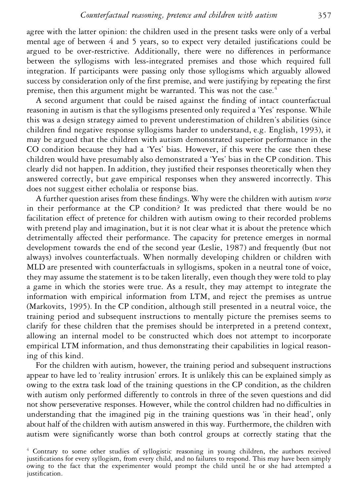agree with the latter opinion: the children used in the present tasks were only of a verbal mental age of between 4 and 5 years, so to expect very detailed justifications could be argued to be over-restrictive. Additionally, there were no differences in performance between the syllogisms with less-integrated premises and those which required full integration. If participants were passing only those syllogisms which arguably allowed success by consideration only of the first premise, and were justifying by repeating the first premise, then this argument might be warranted. This was not the case.<sup>4</sup>

A second argument that could be raised against the finding of intact counterfactual reasoning in autism is that the syllogisms presented only required a 'Yes' response. While this was a design strategy aimed to prevent underestimation of children's abilities (since children find negative response syllogisms harder to understand, e.g. English, 1993), it may be argued that the children with autism demonstrated superior performance in the CO condition because they had a 'Yes' bias. However, if this were the case then these children would have presumably also demonstrated a 'Yes' bias in the CP condition. This clearly did not happen. In addition, they justified their responses theoretically when they answered correctly, but gave empirical responses when they answered incorrectly. This does not suggest either echolalia or response bias.

A further question arises from these findings. Why were the children with autism *worse* in their performance at the CP condition? It was predicted that there would be no facilitation effect of pretence for children with autism owing to their recorded problems with pretend play and imagination, but it is not clear what it is about the pretence which detrimentally affected their performance. The capacity for pretence emerges in normal development towards the end of the second year (Leslie, 1987) and frequently (but not always) involves counterfactuals. When normally developing children or children with MLD are presented with counterfactuals in syllogisms, spoken in a neutral tone of voice, they may assume the statement is to be taken literally, even though they were told to play a game in which the stories were true. As a result, they may attempt to integrate the information with empirical information from LTM, and reject the premises as untrue (Markovits, 1995). In the CP condition, although still presented in a neutral voice, the training period and subsequent instructions to mentally picture the premises seems to clarify for these children that the premises should be interpreted in a pretend context, allowing an internal model to be constructed which does not attempt to incorporate empirical LTM information, and thus demonstrating their capabilities in logical reasoning of this kind.

For the children with autism, however, the training period and subsequent instructions appear to have led to 'reality intrusion' errors. It is unlikely this can be explained simply as owing to the extra task load of the training questions in the CP condition, as the children with autism only performed differently to controls in three of the seven questions and did not show perseverative responses. However, while the control children had no difficulties in understanding that the imagined pig in the training questions was 'in their head', only about half of the children with autism answered in this way. Furthermore, the children with autism were significantly worse than both control groups at correctly stating that the

<sup>4</sup> Contrary to some other studies of syllogistic reasoning in young children, the authors received justications for every syllogism, from every child, and no failures to respond. This may have been simply owing to the fact that the experimenter would prompt the child until he or she had attempted a justification.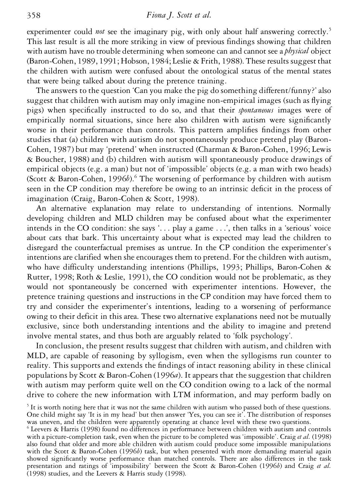experimenter could *not* see the imaginary pig, with only about half answering correctly.<sup>5</sup> This last result is all the more striking in view of previous findings showing that children with autism have no trouble determining when someone can and cannot see a *physical* object (Baron-Cohen, 1989, 1991; Hobson, 1984; Leslie & Frith, 1988). These results suggest that the children with autism were confused about the ontological status of the mental states that were being talked about during the pretence training.

The answers to the question 'Can you make the pig do something different/funny?' also suggest that children with autism may only imagine non-empirical images (such as flying pigs) when specically instructed to do so, and that their *spontaneous* images were of empirically normal situations, since here also children with autism were signicantly worse in their performance than controls. This pattern amplifies findings from other studies that (a) children with autism do not spontaneously produce pretend play (Baron-Cohen, 1987) but may 'pretend' when instructed (Charman & Baron-Cohen, 1996; Lewis & Boucher, 1988) and (b) children with autism will spontaneously produce drawings of empirical objects (e.g. a man) but not of 'impossible' objects (e.g. a man with two heads) (Scott & Baron-Cohen, 1996*b*).<sup>6</sup> The worsening of performance by children with autism seen in the CP condition may therefore be owing to an intrinsic deficit in the process of imagination (Craig, Baron-Cohen & Scott, 1998).

An alternative explanation may relate to understanding of intentions. Normally developing children and MLD children may be confused about what the experimenter intends in the CO condition: she says '. . . play a game . . .', then talks in a 'serious' voice about cats that bark. This uncertainty about what is expected may lead the children to disregard the counterfactual premises as untrue. In the CP condition the experimenter's intentions are clarified when she encourages them to pretend. For the children with autism, who have difficulty understanding intentions (Phillips, 1993; Phillips, Baron-Cohen & Rutter, 1998; Roth & Leslie, 1991), the CO condition would not be problematic, as they would not spontaneously be concerned with experimenter intentions. However, the pretence training questions and instructions in the CP condition may have forced them to try and consider the experimenter's intentions, leading to a worsening of performance owing to their deficit in this area. These two alternative explanations need not be mutually exclusive, since both understanding intentions and the ability to imagine and pretend involve mental states, and thus both are arguably related to 'folk psychology'.

In conclusion, the present results suggest that children with autism, and children with MLD, are capable of reasoning by syllogism, even when the syllogisms run counter to reality. This supports and extends the findings of intact reasoning ability in these clinical populations by Scott & Baron-Cohen (1996*a*). It appears that the suggestion that children with autism may perform quite well on the CO condition owing to a lack of the normal drive to cohere the new information with LTM information, and may perform badly on

 $5$  It is worth noting here that it was not the same children with autism who passed both of these questions.<br>One child might say 'It is in my head' but then answer 'Yes, you can see it'. The distribution of responses

was uneven, and the children were apparently operating at chance level with these two questions.<br><sup>6</sup> Leevers & Harris (1998) found no differences in performance between children with autism and controls with a picture-completion task, even when the picture to be completed was 'impossible'. Craig *et al.* (1998) also found that older and more able children with autism could produce some impossible manipulations with the Scott & Baron-Cohen (1996*b*) task, but when presented with more demanding material again showed significantly worse performance than matched controls. There are also differences in the task presentation and ratings of 'impossibility' between the Scott & Baron-Cohen (1996*b*) and Craig *et al.* (1998) studies, and the Leevers & Harris study (1998).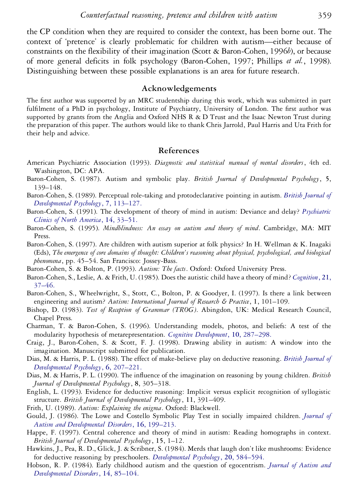the CP condition when they are required to consider the context, has been borne out. The context of 'pretence' is clearly problematic for children with autism—either because of constraints on the flexibility of their imagination (Scott & Baron-Cohen, 1996*b*), or because of more general deficits in folk psychology (Baron-Cohen, 1997; Phillips *et al.*, 1998). Distinguishing between these possible explanations is an area for future research.

### **Acknowledgements**

The first author was supported by an MRC studentship during this work, which was submitted in part fulfilment of a PhD in psychology, Institute of Psychiatry, University of London. The first author was supported by grants from the Anglia and Oxford NHS R & D Trust and the Isaac Newton Trust during the preparation of this paper. The authors would like to thank Chris Jarrold, Paul Harris and Uta Frith for their help and advice.

### **References**

- American Psychiatric Association (1993). *Diagnostic and statistical manual of mental disorders*, 4th ed. Washington, DC: APA.
- Baron-Cohen, S. (1987). Autism and symbolic play. *British Journal of Developmental Psychology*, **5**, 139–148.
- Baron-Cohen, S. (1989). Perceptual role-taking and protodeclarative pointing in autism. *[British Journal of](http://ernesto.ingentaselect.com/nw=1/rpsv/cgi-bin/linker?ext=a&reqidx=/0261-510X^28^297L.113[aid=17852]) [Developmental Psychology](http://ernesto.ingentaselect.com/nw=1/rpsv/cgi-bin/linker?ext=a&reqidx=/0261-510X^28^297L.113[aid=17852])*, **7**, 113–127.
- Baron-Cohen, S. (1991). The development of theory of mind in autism: Deviance and delay? *[Psychiatric](http://ernesto.ingentaselect.com/nw=1/rpsv/cgi-bin/linker?ext=a&reqidx=/0193-953X^28^2914L.33[aid=17853,csa=0193-953X^26vol=14^26iss=1^26firstpage=33]) [Clinics of North America](http://ernesto.ingentaselect.com/nw=1/rpsv/cgi-bin/linker?ext=a&reqidx=/0193-953X^28^2914L.33[aid=17853,csa=0193-953X^26vol=14^26iss=1^26firstpage=33])*, **14**, 33–51.
- Baron-Cohen, S. (1995). *Mindblindness: An essay on autism and theory of mind*. Cambridge, MA: MIT Press.
- Baron-Cohen, S. (1997). Are children with autism superior at folk physics? In H. Wellman & K. Inagaki (Eds), *The emergence of core domains of thought: Children's reasoning about physical, psychological, and biological phenomena*, pp. 45–54. San Francisco: Jossey-Bass.
- Baron-Cohen, S. & Bolton, P. (1993). *Autism: The facts*. Oxford: Oxford University Press.
- Baron-Cohen, S., Leslie, A. & Frith, U. (1985). Does the autistic child have a theory of mind? *[Cognition](http://ernesto.ingentaselect.com/nw=1/rpsv/cgi-bin/linker?ext=a&reqidx=/0010-0277^28^2921L.37[aid=17244,nlm=2934210])*, **21**, [37–46.](http://ernesto.ingentaselect.com/nw=1/rpsv/cgi-bin/linker?ext=a&reqidx=/0010-0277^28^2921L.37[aid=17244,nlm=2934210])
- Baron-Cohen, S., Wheelwright, S., Stott, C., Bolton, P. & Goodyer, I. (1997). Is there a link between engineering and autism? *Autism: International Journal of Research & Practice*, **1**, 101–109.
- Bishop, D. (1983). *Test of Reception of Grammar (TROG)*. Abingdon, UK: Medical Research Council, Chapel Press.
- Charman, T. & Baron-Cohen, S. (1996). Understanding models, photos, and beliefs: A test of the modularity hypothesis of metarepresentation. *[Cognitive Development](http://ernesto.ingentaselect.com/nw=1/rpsv/cgi-bin/linker?ext=a&reqidx=/0885-2014^28^2910L.287[aid=17854])*, **10**, 287–298.
- Craig, J., Baron-Cohen, S. & Scott, F. J. (1998). Drawing ability in autism: A window into the imagination. Manuscript submitted for publication.
- Dias, M. & Harris, P. L. (1988). The effect of make-believe play on deductive reasoning. *[British Journal of](http://ernesto.ingentaselect.com/nw=1/rpsv/cgi-bin/linker?ext=a&reqidx=/0261-510X^28^296L.207[aid=17855]) [Developmental Psychology](http://ernesto.ingentaselect.com/nw=1/rpsv/cgi-bin/linker?ext=a&reqidx=/0261-510X^28^296L.207[aid=17855])*, **6**, 207–221.
- Dias, M. & Harris, P. L. (1990). The influence of the imagination on reasoning by young children. *British Journal of Developmental Psychology*, **8**, 305–318.
- English, L. (1993). Evidence for deductive reasoning: Implicit versus explicit recognition of syllogistic structure. *British Journal of Developmental Psychology*, **11**, 391–409.
- Frith, U. (1989). *Autism: Explaining the enigma*. Oxford: Blackwell.
- Gould, J. (1986). The Lowe and Costello Symbolic Play Test in socially impaired children. *[Journal of](http://ernesto.ingentaselect.com/nw=1/rpsv/cgi-bin/linker?ext=a&reqidx=/0162-3257^28^2916L.199[aid=17858,nlm=2424888]) [Autism and Developmental Disorders](http://ernesto.ingentaselect.com/nw=1/rpsv/cgi-bin/linker?ext=a&reqidx=/0162-3257^28^2916L.199[aid=17858,nlm=2424888])*, **16**, 199–213.
- Happe, F. (1997). Central coherence and theory of mind in autism: Reading homographs in context. *British Journal of Developmental Psychology*, **15**, 1–12.
- Hawkins, J., Pea, R. D., Glick, J. & Scribner, S. (1984). Merds that laugh don't like mushrooms: Evidence for deductive reasoning by preschoolers. *[Developmental Psychology](http://ernesto.ingentaselect.com/nw=1/rpsv/cgi-bin/linker?ext=a&reqidx=/0012-1649^28^2920L.584[aid=17860])*, **20**, 584–594.
- Hobson, R. P. (1984). Early childhood autism and the question of egocentrism. *[Journal of Autism and](http://ernesto.ingentaselect.com/nw=1/rpsv/cgi-bin/linker?ext=a&reqidx=/0162-3257^28^2914L.85[aid=17861,nlm=6706899]) [Developmental Disorders](http://ernesto.ingentaselect.com/nw=1/rpsv/cgi-bin/linker?ext=a&reqidx=/0162-3257^28^2914L.85[aid=17861,nlm=6706899])*, **14**, 85–104.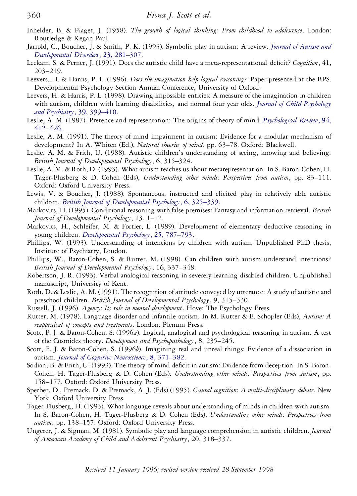- Inhelder, B. & Piaget, J. (1958). *The growth of logical thinking: From childhood to adolescence*. London: Routledge & Kegan Paul.
- Jarrold, C., Boucher, J. & Smith, P. K. (1993). Symbolic play in autism: A review. *[Journal of Autism and](http://ernesto.ingentaselect.com/nw=1/rpsv/cgi-bin/linker?ext=a&reqidx=/0162-3257^28^2923L.281[aid=17862,csa=0162-3257^26vol=23^26iss=2^26firstpage=281,nlm=7687245]) [Developmental Disorders](http://ernesto.ingentaselect.com/nw=1/rpsv/cgi-bin/linker?ext=a&reqidx=/0162-3257^28^2923L.281[aid=17862,csa=0162-3257^26vol=23^26iss=2^26firstpage=281,nlm=7687245])*, **23**, 281–307.
- Leekam, S. & Perner, J. (1991). Does the autistic child have a meta-representational decit? *Cognition*, **41**, 203–219.
- Leevers, H. & Harris, P. L. (1996). *Does the imagination help logical reasoning?* Paper presented at the BPS. Developmental Psychology Section Annual Conference, University of Oxford.
- Leevers, H. & Harris, P. L. (1998). Drawing impossible entities: A measure of the imagination in children with autism, children with learning disabilities, and normal four year olds. *[Journal of Child Psychology](http://ernesto.ingentaselect.com/nw=1/rpsv/cgi-bin/linker?ext=a&reqidx=/0021-9630^28^2939L.399[aid=17864,csa=0021-9630^26vol=39^26iss=3^26firstpage=399,nlm=9670095]) [and Psychiatry](http://ernesto.ingentaselect.com/nw=1/rpsv/cgi-bin/linker?ext=a&reqidx=/0021-9630^28^2939L.399[aid=17864,csa=0021-9630^26vol=39^26iss=3^26firstpage=399,nlm=9670095])*, **39**, 399–410.
- Leslie, A. M. (1987). Pretence and representation: The origins of theory of mind. *[Psychological Review](http://ernesto.ingentaselect.com/nw=1/rpsv/cgi-bin/linker?ext=a&reqidx=/0033-295X^28^2994L.412[aid=17274])*, **94**, [412–426.](http://ernesto.ingentaselect.com/nw=1/rpsv/cgi-bin/linker?ext=a&reqidx=/0033-295X^28^2994L.412[aid=17274])
- Leslie, A. M. (1991). The theory of mind impairment in autism: Evidence for a modular mechanism of development? In A. Whiten (Ed.), *Natural theories of mind*, pp. 63–78. Oxford: Blackwell.
- Leslie, A. M. & Frith, U. (1988). Autistic children's understanding of seeing, knowing and believing. *British Journal of Developmental Psychology*, **6**, 315–324.
- Leslie, A. M. & Roth, D. (1993). What autism teaches us about metarepresentation. In S. Baron-Cohen, H. Tager-Flusberg & D. Cohen (Eds), *Understanding other minds: Perspectives from autism*, pp. 83–111. Oxford: Oxford University Press.
- Lewis, V. & Boucher, J. (1988). Spontaneous, instructed and elicited play in relatively able autistic children. *[British Journal of Developmental Psychology](http://ernesto.ingentaselect.com/nw=1/rpsv/cgi-bin/linker?ext=a&reqidx=/0261-510X^28^296L.325[aid=17865])*, **6**, 325–339.
- Markovits, H. (1995). Conditional reasoning with false premises: Fantasy and information retrieval. *British Journal of Developmental Psychology*, **13**, 1–12.
- Markovits, H., Schleifer, M. & Fortier, L. (1989). Development of elementary deductive reasoning in young children. *[Developmental Psychology](http://ernesto.ingentaselect.com/nw=1/rpsv/cgi-bin/linker?ext=a&reqidx=/0012-1649^28^2925L.787[aid=17867])*, **25**, 787–793.
- Phillips, W. (1993). Understanding of intentions by children with autism. Unpublished PhD thesis, Institute of Psychiatry, London.
- Phillips, W., Baron-Cohen, S. & Rutter, M. (1998). Can children with autism understand intentions? *British Journal of Developmental Psychology*, **16**, 337–348.
- Robertson, J. R. (1993). Verbal analogical reasoning in severely learning disabled children. Unpublished manuscript, University of Kent.
- Roth, D. & Leslie, A. M. (1991). The recognition of attitude conveyed by utterance: A study of autistic and preschool children. *British Journal of Developmental Psychology*, **9**, 315–330.
- Russell, J. (1996). *Agency: Its role in mental development*. Hove: The Psychology Press.
- Rutter, M. (1978). Language disorder and infantile autism. In M. Rutter & E. Schopler (Eds), *Autism: A reappraisal of concepts and treatments*. London: Plenum Press.
- Scott, F. J. & Baron-Cohen, S. (1996*a*). Logical, analogical and psychological reasoning in autism: A test of the Cosmides theory. *Development and Psychopathology*, **8**, 235–245.
- Scott, F. J. & Baron-Cohen, S. (1996*b*). Imagining real and unreal things: Evidence of a dissociation in autism. *[Journal of Cognitive Neuroscience](http://ernesto.ingentaselect.com/nw=1/rpsv/cgi-bin/linker?ext=a&reqidx=/0898-929X^28^298L.371[aid=17870,csa=0898-929X^26vol=8^26iss=4^26firstpage=371])*, **8**, 371–382.
- Sodian, B. & Frith, U. (1993). The theory of mind deficit in autism: Evidence from deception. In S. Baron-Cohen, H. Tager-Flusberg & D. Cohen (Eds). *Understanding other minds: Perspectives from autism*, pp. 158–177. Oxford: Oxford University Press.
- Sperber, D., Premack, D. & Premack, A. J. (Eds) (1995). *Causal cognition: A multi-disciplinary debate*. New York: Oxford University Press.
- Tager-Flusberg, H. (1993). What language reveals about understanding of minds in children with autism. In S. Baron-Cohen, H. Tager-Flusberg & D. Cohen (Eds), *Understanding other minds: Perspectives from autism*, pp. 138–157. Oxford: Oxford University Press.
- Ungerer, J. & Sigman, M. (1981). Symbolic play and language comprehension in autistic children. *Journal of American Academy of Child and Adolescent Psychiatry*, **20**, 318–337.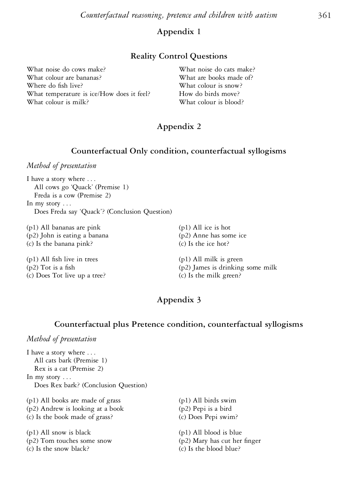# **Appendix 1**

### **Reality Control Questions**

| What noise do cows make?                  | What noise do cats make? |
|-------------------------------------------|--------------------------|
| What colour are bananas?                  | What are books made of?  |
| Where do fish live?                       | What colour is snow?     |
| What temperature is ice/How does it feel? | How do birds move?       |
| What colour is milk?                      | What colour is blood?    |
|                                           |                          |

# **Appendix 2**

#### **Counterfactual Only condition, counterfactual syllogisms**

*Method of presentation*

I have a story where . . . All cows go 'Quack' (Premise 1) Freda is a cow (Premise 2) In my story . . . Does Freda say 'Quack'? (Conclusion Question)

(p1) All bananas are pink (p1) All ice is hot (p2) John is eating a banana (p2) Anne has some ice (c) Is the banana pink? (c) Is the ice hot?

 $(p1)$  All fish live in trees  $(p1)$  All milk is green (c) Does Tot live up a tree? (c) Is the milk green?

 $(p2)$  Tot is a fish  $(p2)$  James is drinking some milk

# **Appendix 3**

### **Counterfactual plus Pretence condition, counterfactual syllogisms**

# *Method of presentation*

I have a story where . . . All cats bark (Premise 1) Rex is a cat (Premise 2) In my story . . . Does Rex bark? (Conclusion Question) (p1) All books are made of grass (p1) All birds swim

(p2) Andrew is looking at a book (p2) Pepi is a bird (c) Is the book made of grass? (c) Does Pepi swim? (p1) All snow is black (p1) All blood is blue

(c) Is the snow black? (c) Is the blood blue?

(p2) Tom touches some snow (p2) Mary has cut her finger